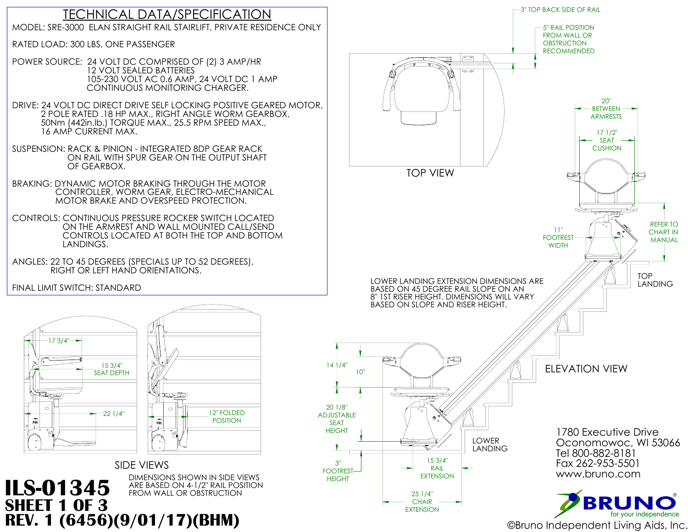

### DIMENSIONS SHOWN IN SIDE VIEWS<br>ARE BASED ON 4-1/2" RAIL POSITION **ILS-01345** ARE BASED ON 4-1/2" RAIL POS

### TECHNICAL DATA/SPECIFICATION MODEL: SRE-3000 ELAN STRAIGHT RAIL STAIRLIFT, PRIVATE RESIDENCE ONLY

RATED LOAD: 300 LBS, ONE PASSENGER

POWER SOURCE: 24 VOLT DC COMPRISED OF (2) 3 AMP/HR 12 VOLT SEALED BATTERIES

 105-230 VOLT AC 0.6 AMP, 24 VOLT DC 1 AMP CONTINUOUS MONITORING CHARGER. DRIVE: 24 VOLT DC DIRECT DRIVE SELF LOCKING POSITIVE GEARED MOTOR, 2 POLE RATED .18 HP MAX., RIGHT ANGLE WORM GEARBOX, 50Nm (442in.lb.) TORQUE MAX., 25.5 RPM SPEED MAX., 16 AMP CURRENT MAX.



SUSPENSION: RACK & PINION - INTEGRATED 8DP GEAR RACK ON RAIL WITH SPUR GEAR ON THE OUTPUT SHAFT OF GEARBOX.

BRAKING: DYNAMIC MOTOR BRAKING THROUGH THE MOTOR CONTROLLER, WORM GEAR, ELECTRO-MECHANICAL MOTOR BRAKE AND OVERSPEED PROTECTION.

CONTROLS: CONTINUOUS PRESSURE ROCKER SWITCH LOCATED ON THE ARMREST AND WALL MOUNTED CALL/SEND CONTROLS LOCATED AT BOTH THE TOP AND BOTTOM LANDINGS.

ANGLES: 22 TO 45 DEGREES (SPECIALS UP TO 52 DEGREES), RIGHT OR LEFT HAND ORIENTATIONS.

FINAL LIMIT SWITCH: STANDARD

**SHEET 1 OF 3**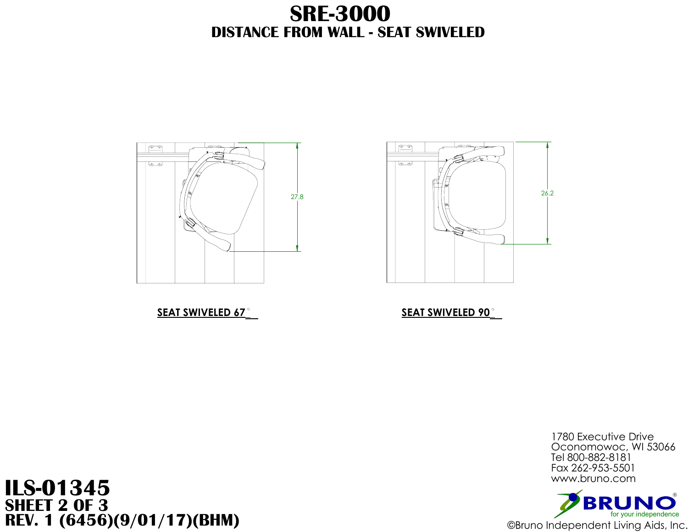

### **SEAT SWIVELED 67 SEAT SWIVELED 90**

# **DISTANCE FROM WALL - SEAT SWIVELED SRE-3000**







# **ILS-01345 SHEET 2 OF 3 REV. 1 (6456)(9/01/17)(BHM)** ©Bruno Independent Living Aids, Inc.